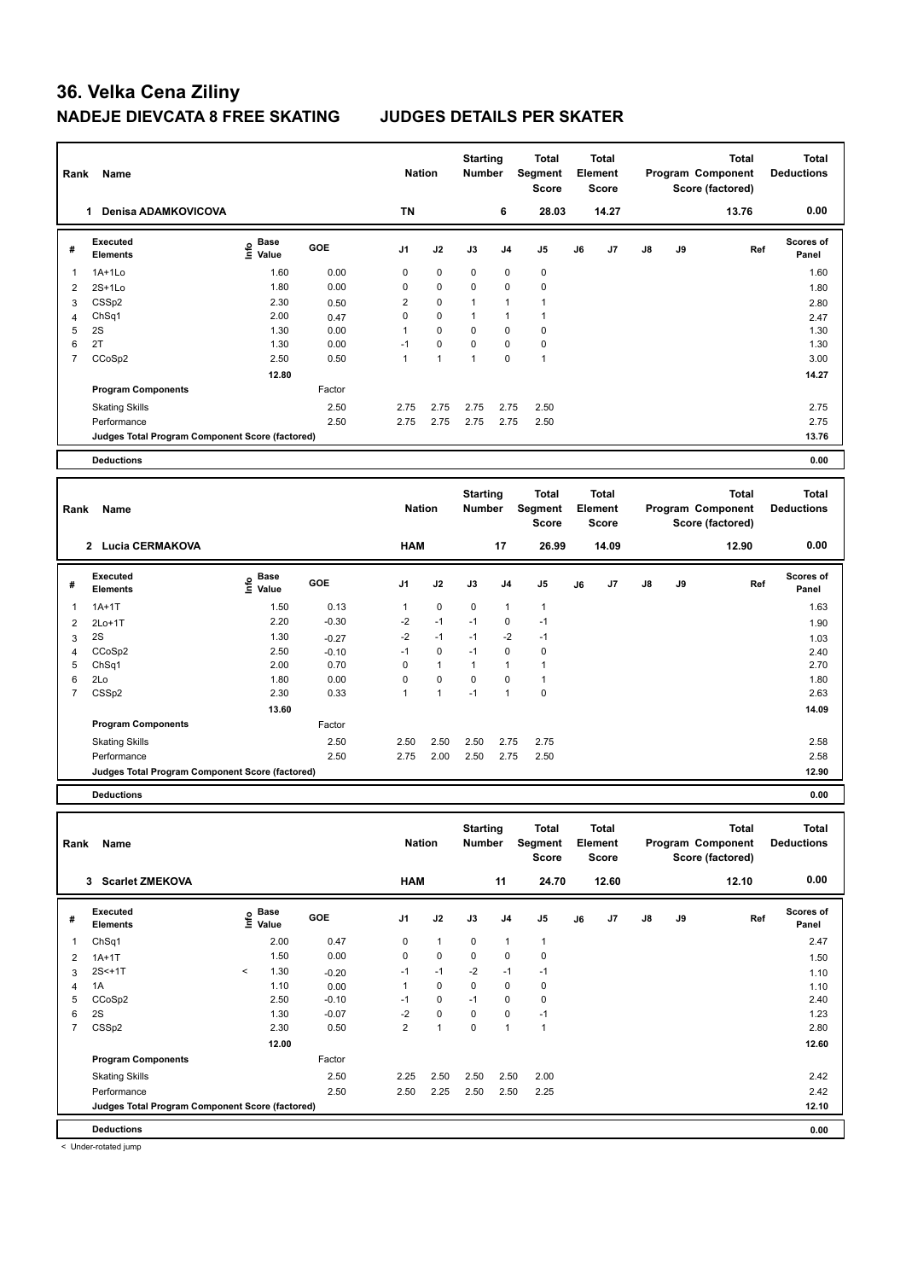| Rank           | Name                                            |                                  |         | <b>Nation</b>  |              | <b>Starting</b><br><b>Number</b> |                | <b>Total</b><br>Segment<br><b>Score</b> |    | <b>Total</b><br>Element<br><b>Score</b> |    |    | <b>Total</b><br>Program Component<br>Score (factored) | <b>Total</b><br><b>Deductions</b> |
|----------------|-------------------------------------------------|----------------------------------|---------|----------------|--------------|----------------------------------|----------------|-----------------------------------------|----|-----------------------------------------|----|----|-------------------------------------------------------|-----------------------------------|
|                | 1 Denisa ADAMKOVICOVA                           |                                  |         | <b>TN</b>      |              |                                  | 6              | 28.03                                   |    | 14.27                                   |    |    | 13.76                                                 | 0.00                              |
| #              | <b>Executed</b><br><b>Elements</b>              | <b>Base</b><br>o Base<br>⊆ Value | GOE     | J <sub>1</sub> | J2           | J3                               | J <sub>4</sub> | J <sub>5</sub>                          | J6 | J7                                      | J8 | J9 | Ref                                                   | Scores of<br>Panel                |
| $\mathbf 1$    | $1A+1L0$                                        | 1.60                             | 0.00    | $\mathbf 0$    | $\mathbf 0$  | 0                                | $\mathbf 0$    | $\pmb{0}$                               |    |                                         |    |    |                                                       | 1.60                              |
| $\overline{2}$ | $2S+1Lo$                                        | 1.80                             | 0.00    | $\mathbf 0$    | 0            | 0                                | $\mathbf 0$    | $\mathbf 0$                             |    |                                         |    |    |                                                       | 1.80                              |
| 3              | CSSp2                                           | 2.30                             | 0.50    | $\overline{2}$ | 0            | $\mathbf{1}$                     | $\mathbf{1}$   | $\overline{1}$                          |    |                                         |    |    |                                                       | 2.80                              |
| $\overline{4}$ | ChSq1                                           | 2.00                             | 0.47    | $\mathbf 0$    | 0            | $\mathbf{1}$                     | $\mathbf{1}$   | $\mathbf{1}$                            |    |                                         |    |    |                                                       | 2.47                              |
| 5              | 2S                                              | 1.30                             | 0.00    | $\mathbf{1}$   | 0            | $\Omega$                         | $\mathbf 0$    | $\mathbf 0$                             |    |                                         |    |    |                                                       | 1.30                              |
| 6              | 2T                                              | 1.30                             | 0.00    | $-1$           | 0            | 0                                | $\mathbf 0$    | $\mathbf 0$                             |    |                                         |    |    |                                                       | 1.30                              |
| $\overline{7}$ | CCoSp2                                          | 2.50                             | 0.50    | $\mathbf{1}$   | $\mathbf{1}$ | $\mathbf{1}$                     | $\mathbf 0$    | $\overline{1}$                          |    |                                         |    |    |                                                       | 3.00                              |
|                |                                                 | 12.80                            |         |                |              |                                  |                |                                         |    |                                         |    |    |                                                       | 14.27                             |
|                | <b>Program Components</b>                       |                                  | Factor  |                |              |                                  |                |                                         |    |                                         |    |    |                                                       |                                   |
|                | <b>Skating Skills</b>                           |                                  | 2.50    | 2.75           | 2.75         | 2.75                             | 2.75           | 2.50                                    |    |                                         |    |    |                                                       | 2.75                              |
|                | Performance                                     |                                  | 2.50    | 2.75           | 2.75         | 2.75                             | 2.75           | 2.50                                    |    |                                         |    |    |                                                       | 2.75                              |
|                | Judges Total Program Component Score (factored) |                                  |         |                |              |                                  |                |                                         |    |                                         |    |    |                                                       | 13.76                             |
|                |                                                 |                                  |         |                |              |                                  |                |                                         |    |                                         |    |    |                                                       |                                   |
|                | <b>Deductions</b>                               |                                  |         |                |              |                                  |                |                                         |    |                                         |    |    |                                                       | 0.00                              |
| Rank           | Name                                            |                                  |         | <b>Nation</b>  |              | <b>Starting</b><br><b>Number</b> |                | <b>Total</b><br>Segment<br><b>Score</b> |    | <b>Total</b><br>Element<br><b>Score</b> |    |    | <b>Total</b><br>Program Component<br>Score (factored) | <b>Total</b><br><b>Deductions</b> |
|                | 2 Lucia CERMAKOVA                               |                                  |         | <b>HAM</b>     |              |                                  | 17             | 26.99                                   |    | 14.09                                   |    |    | 12.90                                                 | 0.00                              |
| #              | <b>Executed</b><br><b>Elements</b>              | e Base<br>E Value                | GOE     | J1             | J2           | J3                               | J <sub>4</sub> | J5                                      | J6 | J7                                      | J8 | J9 | Ref                                                   | Scores of<br>Panel                |
| $\mathbf 1$    | $1A+1T$                                         | 1.50                             | 0.13    | $\mathbf{1}$   | 0            | $\mathbf 0$                      | $\mathbf{1}$   | $\mathbf{1}$                            |    |                                         |    |    |                                                       | 1.63                              |
| $\overline{2}$ | $2Lo+1T$                                        | 2.20                             | $-0.30$ | $-2$           | $-1$         | $-1$                             | $\mathbf 0$    | $-1$                                    |    |                                         |    |    |                                                       | 1.90                              |
| 3              | 2S                                              | 1.30                             | $-0.27$ | $-2$           | $-1$         | $-1$                             | $-2$           | $-1$                                    |    |                                         |    |    |                                                       | 1.03                              |
| $\overline{4}$ | CCoSp2                                          | 2.50                             | $-0.10$ | $-1$           | 0            | $-1$                             | $\mathbf 0$    | $\mathbf 0$                             |    |                                         |    |    |                                                       | 2.40                              |
| 5              | ChSq1                                           | 2.00                             | 0.70    | $\mathbf 0$    | $\mathbf{1}$ | $\mathbf{1}$                     | $\mathbf{1}$   | $\mathbf{1}$                            |    |                                         |    |    |                                                       | 2.70                              |
| 6              | 2Lo                                             | 1.80                             | 0.00    | $\mathbf 0$    | 0            | $\mathbf 0$                      | $\mathbf 0$    | $\mathbf{1}$                            |    |                                         |    |    |                                                       | 1.80                              |
| $\overline{7}$ | CSSp2                                           | 2.30                             | 0.33    | $\mathbf{1}$   | $\mathbf{1}$ | $-1$                             | $\mathbf{1}$   | $\pmb{0}$                               |    |                                         |    |    |                                                       | 2.63                              |
|                |                                                 | 13.60                            |         |                |              |                                  |                |                                         |    |                                         |    |    |                                                       | 14.09                             |
|                | <b>Program Components</b>                       |                                  | Factor  |                |              |                                  |                |                                         |    |                                         |    |    |                                                       |                                   |

**Deductions 0.00**

| Rank           | Name                                            |         |                      |            | <b>Nation</b>  |                | <b>Starting</b><br><b>Number</b> |                | <b>Total</b><br>Segment<br><b>Score</b> |    | <b>Total</b><br>Element<br><b>Score</b> |               |    | <b>Total</b><br>Program Component<br>Score (factored) | <b>Total</b><br><b>Deductions</b> |
|----------------|-------------------------------------------------|---------|----------------------|------------|----------------|----------------|----------------------------------|----------------|-----------------------------------------|----|-----------------------------------------|---------------|----|-------------------------------------------------------|-----------------------------------|
|                | <b>Scarlet ZMEKOVA</b><br>3                     |         |                      |            | <b>HAM</b>     |                |                                  | 11             | 24.70                                   |    | 12.60                                   |               |    | 12.10                                                 | 0.00                              |
| #              | Executed<br><b>Elements</b>                     | lnfo    | <b>Base</b><br>Value | <b>GOE</b> | J <sub>1</sub> | J2             | J3                               | J <sub>4</sub> | J <sub>5</sub>                          | J6 | J7                                      | $\mathsf{J}8$ | J9 | Ref                                                   | <b>Scores of</b><br>Panel         |
|                | ChSq1                                           |         | 2.00                 | 0.47       | 0              | $\overline{1}$ | $\Omega$                         | $\overline{1}$ | $\mathbf{1}$                            |    |                                         |               |    |                                                       | 2.47                              |
| 2              | $1A+1T$                                         |         | 1.50                 | 0.00       | 0              | $\mathbf 0$    | $\mathbf 0$                      | $\pmb{0}$      | $\mathbf 0$                             |    |                                         |               |    |                                                       | 1.50                              |
| 3              | $2S < +1T$                                      | $\prec$ | 1.30                 | $-0.20$    | $-1$           | $-1$           | $-2$                             | $-1$           | $-1$                                    |    |                                         |               |    |                                                       | 1.10                              |
| 4              | 1A                                              |         | 1.10                 | 0.00       |                | 0              | 0                                | $\pmb{0}$      | 0                                       |    |                                         |               |    |                                                       | 1.10                              |
| 5              | CCoSp2                                          |         | 2.50                 | $-0.10$    | $-1$           | $\mathbf 0$    | $-1$                             | 0              | $\pmb{0}$                               |    |                                         |               |    |                                                       | 2.40                              |
| 6              | 2S                                              |         | 1.30                 | $-0.07$    | -2             | $\mathbf 0$    | 0                                | 0              | $-1$                                    |    |                                         |               |    |                                                       | 1.23                              |
| $\overline{7}$ | CSS <sub>p2</sub>                               |         | 2.30                 | 0.50       | $\overline{2}$ | $\overline{1}$ | $\mathbf 0$                      | $\overline{1}$ | $\mathbf{1}$                            |    |                                         |               |    |                                                       | 2.80                              |
|                |                                                 |         | 12.00                |            |                |                |                                  |                |                                         |    |                                         |               |    |                                                       | 12.60                             |
|                | <b>Program Components</b>                       |         |                      | Factor     |                |                |                                  |                |                                         |    |                                         |               |    |                                                       |                                   |
|                | <b>Skating Skills</b>                           |         |                      | 2.50       | 2.25           | 2.50           | 2.50                             | 2.50           | 2.00                                    |    |                                         |               |    |                                                       | 2.42                              |
|                | Performance                                     |         |                      | 2.50       | 2.50           | 2.25           | 2.50                             | 2.50           | 2.25                                    |    |                                         |               |    |                                                       | 2.42                              |
|                | Judges Total Program Component Score (factored) |         |                      |            |                |                |                                  |                |                                         |    |                                         |               |    |                                                       | 12.10                             |
|                | <b>Deductions</b>                               |         |                      |            |                |                |                                  |                |                                         |    |                                         |               |    |                                                       | 0.00                              |

Skating Skills 2.50 2.50 2.50 2.75 2.75 2.50 2.58

Performance 2.50 2.75 2.00 2.50 2.75 2.50 2.58

**Judges Total Program Component Score (factored) 12.90**

< Under-rotated jump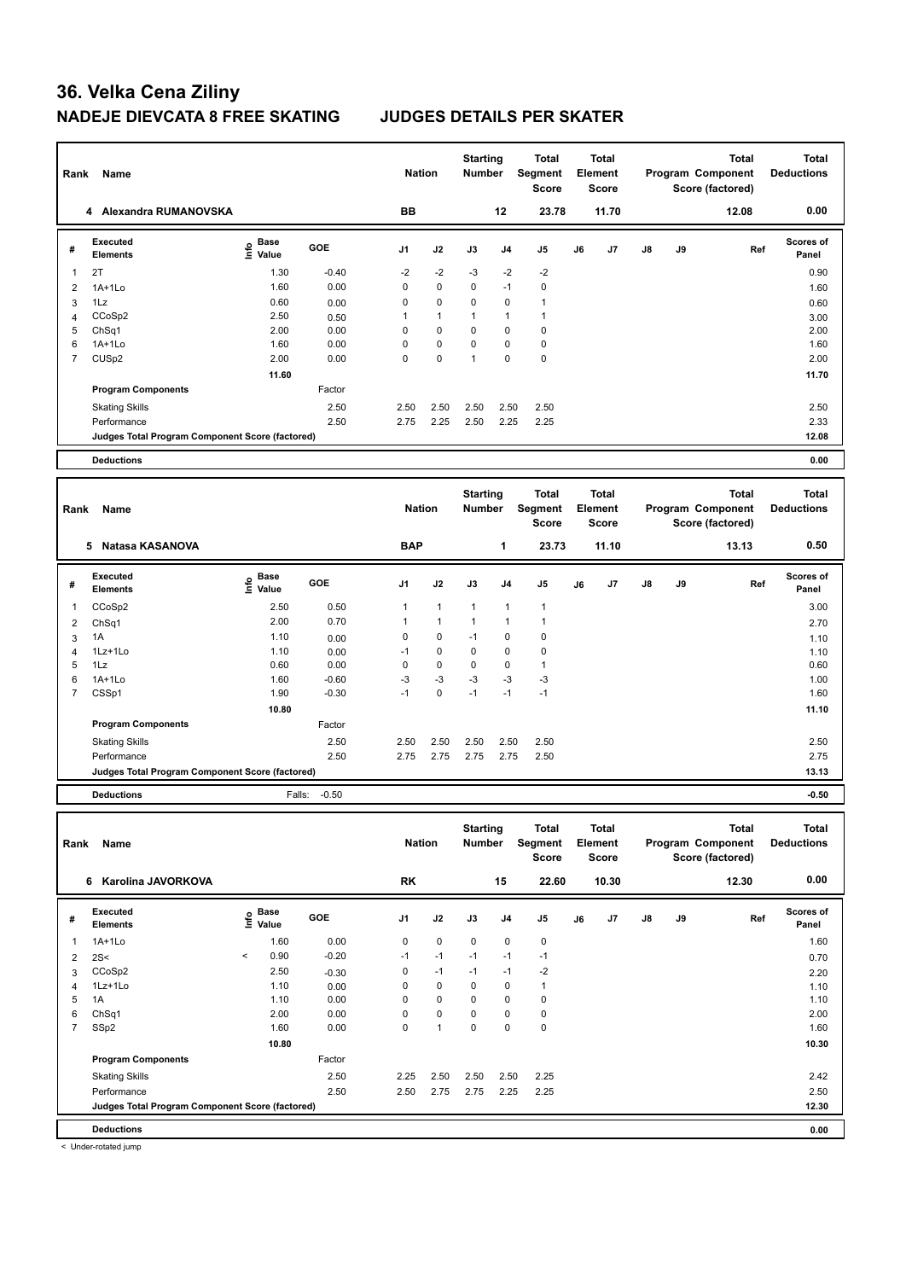| Rank           | Name                                            |                            |              | <b>Nation</b>  |              | <b>Starting</b><br>Number |                | Total<br>Segment<br><b>Score</b> |    | Total<br>Element<br><b>Score</b>        |    |    | <b>Total</b><br>Program Component<br>Score (factored) | <b>Total</b><br><b>Deductions</b> |
|----------------|-------------------------------------------------|----------------------------|--------------|----------------|--------------|---------------------------|----------------|----------------------------------|----|-----------------------------------------|----|----|-------------------------------------------------------|-----------------------------------|
|                | 4 Alexandra RUMANOVSKA                          |                            |              | <b>BB</b>      |              |                           | 12             | 23.78                            |    | 11.70                                   |    |    | 12.08                                                 | 0.00                              |
| #              | <b>Executed</b><br><b>Elements</b>              | e Base<br>E Value<br>Value | GOE          | J <sub>1</sub> | J2           | J3                        | J4             | J5                               | J6 | J7                                      | J8 | J9 | Ref                                                   | Scores of<br>Panel                |
| $\mathbf 1$    | 2T                                              | 1.30                       | $-0.40$      | $-2$           | $-2$         | $-3$                      | $-2$           | $-2$                             |    |                                         |    |    |                                                       | 0.90                              |
| $\overline{2}$ | $1A+1Lo$                                        | 1.60                       | 0.00         | $\mathbf 0$    | $\mathbf 0$  | 0                         | $-1$           | $\mathbf 0$                      |    |                                         |    |    |                                                       | 1.60                              |
| 3              | 1Lz                                             | 0.60                       | 0.00         | 0              | 0            | 0                         | 0              | $\mathbf{1}$                     |    |                                         |    |    |                                                       | 0.60                              |
| $\overline{4}$ | CCoSp2                                          | 2.50                       | 0.50         | $\mathbf{1}$   | $\mathbf{1}$ | $\mathbf{1}$              | $\mathbf{1}$   | $\overline{1}$                   |    |                                         |    |    |                                                       | 3.00                              |
| 5              | Ch <sub>Sq1</sub>                               | 2.00                       | 0.00         | $\mathbf 0$    | 0            | $\mathbf 0$               | $\mathbf 0$    | $\mathbf 0$                      |    |                                         |    |    |                                                       | 2.00                              |
| 6              | $1A+1Lo$                                        | 1.60                       | 0.00         | $\mathbf 0$    | 0            | 0                         | $\mathbf 0$    | $\mathbf 0$                      |    |                                         |    |    |                                                       | 1.60                              |
| $\overline{7}$ | CUS <sub>p2</sub>                               | 2.00                       | 0.00         | $\mathbf 0$    | 0            | $\mathbf{1}$              | $\mathbf 0$    | $\pmb{0}$                        |    |                                         |    |    |                                                       | 2.00                              |
|                |                                                 | 11.60                      |              |                |              |                           |                |                                  |    |                                         |    |    |                                                       | 11.70                             |
|                | <b>Program Components</b>                       |                            | Factor       |                |              |                           |                |                                  |    |                                         |    |    |                                                       |                                   |
|                | <b>Skating Skills</b>                           |                            | 2.50         | 2.50           | 2.50         | 2.50                      | 2.50           | 2.50                             |    |                                         |    |    |                                                       | 2.50                              |
|                | Performance                                     |                            | 2.50         | 2.75           | 2.25         | 2.50                      | 2.25           | 2.25                             |    |                                         |    |    |                                                       | 2.33                              |
|                | Judges Total Program Component Score (factored) |                            |              |                |              |                           |                |                                  |    |                                         |    |    |                                                       | 12.08                             |
|                |                                                 |                            |              |                |              |                           |                |                                  |    |                                         |    |    |                                                       |                                   |
|                | <b>Deductions</b>                               |                            |              |                |              |                           |                |                                  |    |                                         |    |    |                                                       | 0.00                              |
| Rank           | Name                                            |                            |              | <b>Nation</b>  |              | <b>Starting</b><br>Number |                | Total<br>Segment<br><b>Score</b> |    | <b>Total</b><br>Element<br><b>Score</b> |    |    | <b>Total</b><br>Program Component<br>Score (factored) | <b>Total</b><br><b>Deductions</b> |
|                | 5 Natasa KASANOVA                               |                            |              | <b>BAP</b>     |              |                           | $\mathbf{1}$   | 23.73                            |    | 11.10                                   |    |    | 13.13                                                 | 0.50                              |
| #              | <b>Executed</b><br><b>Elements</b>              | e Base<br>E Value          | GOE          | J <sub>1</sub> | J2           | J3                        | J <sub>4</sub> | J <sub>5</sub>                   | J6 | J7                                      | J8 | J9 | Ref                                                   | Scores of<br>Panel                |
| $\mathbf{1}$   | CCoSp2                                          | 2.50                       | 0.50         | $\mathbf{1}$   | $\mathbf{1}$ | $\mathbf{1}$              | $\mathbf{1}$   | $\mathbf{1}$                     |    |                                         |    |    |                                                       | 3.00                              |
| $\overline{2}$ | ChSq1                                           | 2.00                       | 0.70         | $\mathbf{1}$   | $\mathbf{1}$ | $\mathbf{1}$              | 1              | $\mathbf{1}$                     |    |                                         |    |    |                                                       | 2.70                              |
| 3              | 1A                                              | 1.10                       | 0.00         | $\mathbf 0$    | 0            | $-1$                      | $\mathbf 0$    | $\mathbf 0$                      |    |                                         |    |    |                                                       | 1.10                              |
| $\overline{4}$ | 1Lz+1Lo                                         | 1.10                       | 0.00         | $-1$           | 0            | 0                         | 0              | $\mathbf 0$                      |    |                                         |    |    |                                                       | 1.10                              |
| 5              | 1Lz                                             | 0.60                       | 0.00         | $\mathbf 0$    | 0            | 0                         | $\mathbf 0$    | $\mathbf{1}$                     |    |                                         |    |    |                                                       | 0.60                              |
|                |                                                 |                            |              | -3             | $-3$         | -3                        | $-3$           | $-3$                             |    |                                         |    |    |                                                       | 1.00                              |
| 6              | $1A+1Lo$                                        | 1.60                       | $-0.60$      |                |              |                           |                |                                  |    |                                         |    |    |                                                       |                                   |
| $\overline{7}$ | CSSp1                                           | 1.90                       | $-0.30$      | $-1$           | $\mathbf 0$  | $-1$                      | $-1$           | $-1$                             |    |                                         |    |    |                                                       | 1.60                              |
|                |                                                 | 10.80                      |              |                |              |                           |                |                                  |    |                                         |    |    |                                                       | 11.10                             |
|                | <b>Program Components</b>                       |                            | Factor       |                |              |                           |                |                                  |    |                                         |    |    |                                                       |                                   |
|                |                                                 |                            |              |                |              |                           |                |                                  |    |                                         |    |    |                                                       |                                   |
|                | <b>Skating Skills</b><br>Performance            |                            | 2.50<br>2.50 | 2.50<br>2.75   | 2.50<br>2.75 | 2.50<br>2.75              | 2.50<br>2.75   | 2.50<br>2.50                     |    |                                         |    |    |                                                       | 2.50<br>2.75                      |

**Deductions** Falls: -0.50 **-0.50**

| Rank | Name                                            |                          |                             |            | <b>Nation</b> |             | <b>Starting</b><br><b>Number</b> |             | Total<br>Segment<br><b>Score</b> |    | <b>Total</b><br>Element<br><b>Score</b> |               |    | <b>Total</b><br>Program Component<br>Score (factored) | <b>Total</b><br><b>Deductions</b> |
|------|-------------------------------------------------|--------------------------|-----------------------------|------------|---------------|-------------|----------------------------------|-------------|----------------------------------|----|-----------------------------------------|---------------|----|-------------------------------------------------------|-----------------------------------|
|      | Karolina JAVORKOVA<br>6                         |                          |                             |            | <b>RK</b>     |             |                                  | 15          | 22.60                            |    | 10.30                                   |               |    | 12.30                                                 | 0.00                              |
| #    | Executed<br><b>Elements</b>                     |                          | Base<br>$\frac{6}{5}$ Value | <b>GOE</b> | J1            | J2          | J3                               | J4          | J <sub>5</sub>                   | J6 | J <sub>7</sub>                          | $\mathsf{J}8$ | J9 | Ref                                                   | <b>Scores of</b><br>Panel         |
| 1    | $1A+1Lo$                                        |                          | 1.60                        | 0.00       | $\mathbf 0$   | $\mathbf 0$ | $\mathbf 0$                      | $\mathbf 0$ | $\mathbf 0$                      |    |                                         |               |    |                                                       | 1.60                              |
| 2    | 2S<                                             | $\overline{\phantom{a}}$ | 0.90                        | $-0.20$    | $-1$          | $-1$        | $-1$                             | $-1$        | $-1$                             |    |                                         |               |    |                                                       | 0.70                              |
| 3    | CCoSp2                                          |                          | 2.50                        | $-0.30$    | 0             | $-1$        | $-1$                             | $-1$        | $-2$                             |    |                                         |               |    |                                                       | 2.20                              |
| 4    | 1Lz+1Lo                                         |                          | 1.10                        | 0.00       | 0             | $\mathbf 0$ | $\mathbf 0$                      | 0           | 1                                |    |                                         |               |    |                                                       | 1.10                              |
| 5    | 1A                                              |                          | 1.10                        | 0.00       | $\Omega$      | $\mathbf 0$ | $\Omega$                         | 0           | 0                                |    |                                         |               |    |                                                       | 1.10                              |
| 6    | ChSq1                                           |                          | 2.00                        | 0.00       | 0             | $\mathbf 0$ | $\mathbf 0$                      | 0           | $\pmb{0}$                        |    |                                         |               |    |                                                       | 2.00                              |
| 7    | SSp2                                            |                          | 1.60                        | 0.00       | 0             | 1           | 0                                | $\Omega$    | 0                                |    |                                         |               |    |                                                       | 1.60                              |
|      |                                                 |                          | 10.80                       |            |               |             |                                  |             |                                  |    |                                         |               |    |                                                       | 10.30                             |
|      | <b>Program Components</b>                       |                          |                             | Factor     |               |             |                                  |             |                                  |    |                                         |               |    |                                                       |                                   |
|      | <b>Skating Skills</b>                           |                          |                             | 2.50       | 2.25          | 2.50        | 2.50                             | 2.50        | 2.25                             |    |                                         |               |    |                                                       | 2.42                              |
|      | Performance                                     |                          |                             | 2.50       | 2.50          | 2.75        | 2.75                             | 2.25        | 2.25                             |    |                                         |               |    |                                                       | 2.50                              |
|      | Judges Total Program Component Score (factored) |                          |                             |            |               |             |                                  |             |                                  |    |                                         |               |    |                                                       | 12.30                             |
|      | <b>Deductions</b>                               |                          |                             |            |               |             |                                  |             |                                  |    |                                         |               |    |                                                       | 0.00                              |

< Under-rotated jump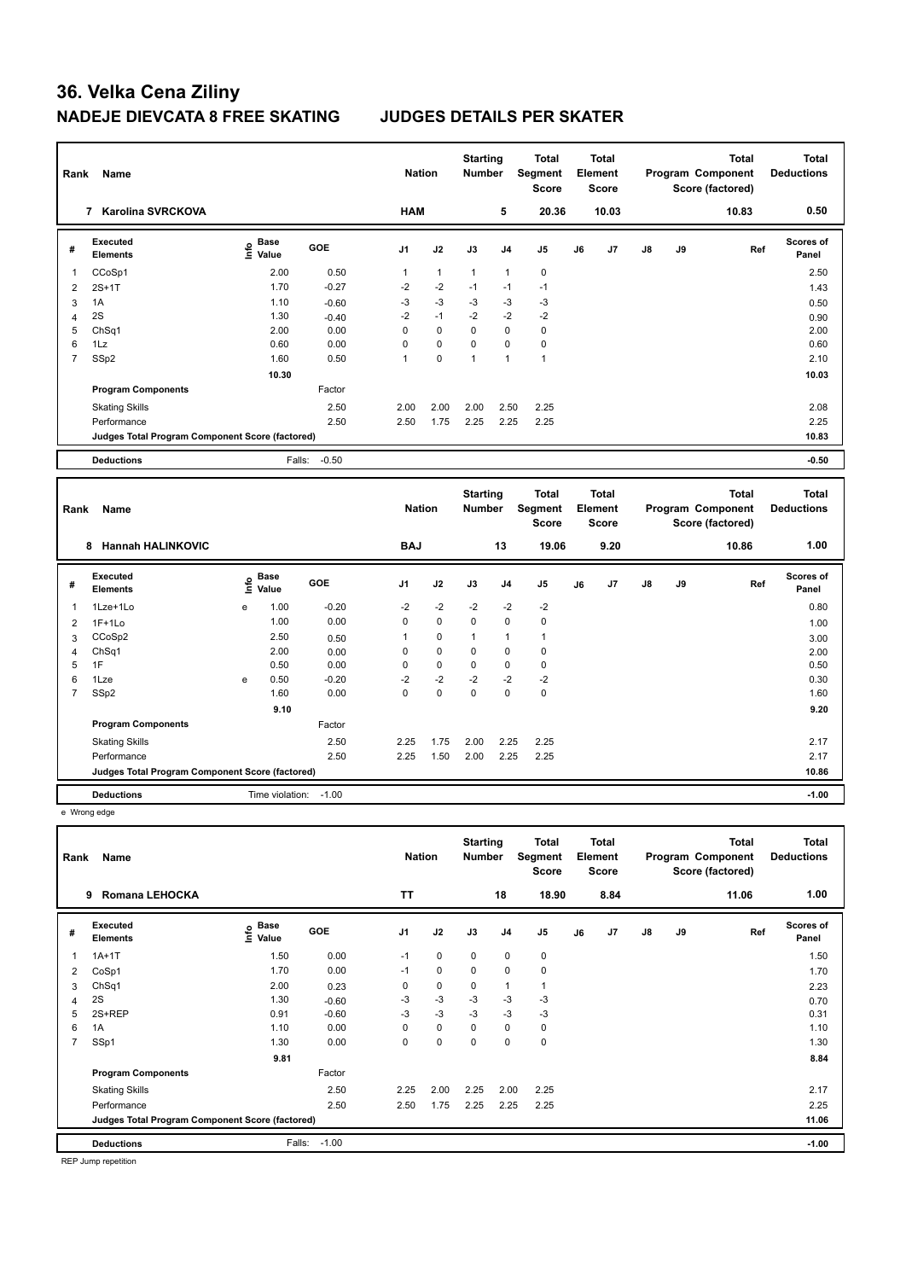| Rank           | Name                                            |                                    |            | <b>Nation</b>  |              | <b>Starting</b><br><b>Number</b> |                | <b>Total</b><br>Segment<br><b>Score</b> |    | <b>Total</b><br>Element<br><b>Score</b> |               |    | <b>Total</b><br><b>Program Component</b><br>Score (factored) | <b>Total</b><br><b>Deductions</b> |
|----------------|-------------------------------------------------|------------------------------------|------------|----------------|--------------|----------------------------------|----------------|-----------------------------------------|----|-----------------------------------------|---------------|----|--------------------------------------------------------------|-----------------------------------|
|                | <b>Karolina SVRCKOVA</b><br>7                   |                                    |            | <b>HAM</b>     |              |                                  | 5              | 20.36                                   |    | 10.03                                   |               |    | 10.83                                                        | 0.50                              |
| #              | Executed<br><b>Elements</b>                     | <b>Base</b><br>e Base<br>E Value   | <b>GOE</b> | J <sub>1</sub> | J2           | J3                               | J <sub>4</sub> | J <sub>5</sub>                          | J6 | J <sub>7</sub>                          | $\mathsf{J}8$ | J9 | Ref                                                          | Scores of<br>Panel                |
| -1             | CCoSp1                                          | 2.00                               | 0.50       | $\mathbf{1}$   | $\mathbf{1}$ | $\mathbf{1}$                     | $\overline{1}$ | $\pmb{0}$                               |    |                                         |               |    |                                                              | 2.50                              |
| $\overline{2}$ | $2S+1T$                                         | 1.70                               | $-0.27$    | $-2$           | $-2$         | $-1$                             | $-1$           | $-1$                                    |    |                                         |               |    |                                                              | 1.43                              |
| 3              | 1A                                              | 1.10                               | $-0.60$    | $-3$           | $-3$         | $-3$                             | $-3$           | -3                                      |    |                                         |               |    |                                                              | 0.50                              |
| 4              | 2S                                              | 1.30                               | $-0.40$    | $-2$           | $-1$         | $-2$                             | $-2$           | $-2$                                    |    |                                         |               |    |                                                              | 0.90                              |
| 5              | ChSq1                                           | 2.00                               | 0.00       | 0              | $\Omega$     | $\Omega$                         | $\Omega$       | $\mathbf 0$                             |    |                                         |               |    |                                                              | 2.00                              |
| 6              | 1Lz                                             | 0.60                               | 0.00       | $\Omega$       | $\Omega$     | $\Omega$                         | $\Omega$       | $\pmb{0}$                               |    |                                         |               |    |                                                              | 0.60                              |
| $\overline{7}$ | SSp2                                            | 1.60                               | 0.50       | 1              | 0            | 1                                | $\mathbf{1}$   | $\mathbf{1}$                            |    |                                         |               |    |                                                              | 2.10                              |
|                |                                                 | 10.30                              |            |                |              |                                  |                |                                         |    |                                         |               |    |                                                              | 10.03                             |
|                | <b>Program Components</b>                       |                                    | Factor     |                |              |                                  |                |                                         |    |                                         |               |    |                                                              |                                   |
|                | <b>Skating Skills</b>                           |                                    | 2.50       | 2.00           | 2.00         | 2.00                             | 2.50           | 2.25                                    |    |                                         |               |    |                                                              | 2.08                              |
|                | Performance                                     |                                    | 2.50       | 2.50           | 1.75         | 2.25                             | 2.25           | 2.25                                    |    |                                         |               |    |                                                              | 2.25                              |
|                | Judges Total Program Component Score (factored) |                                    |            |                |              |                                  |                |                                         |    |                                         |               |    |                                                              | 10.83                             |
|                | <b>Deductions</b>                               | Falls:                             | $-0.50$    |                |              |                                  |                |                                         |    |                                         |               |    |                                                              | $-0.50$                           |
|                |                                                 |                                    |            |                |              |                                  |                |                                         |    |                                         |               |    |                                                              |                                   |
| Rank           | Name                                            |                                    |            | <b>Nation</b>  |              | <b>Starting</b><br><b>Number</b> |                | <b>Total</b><br>Segment<br><b>Score</b> |    | <b>Total</b><br>Element<br><b>Score</b> |               |    | <b>Total</b><br>Program Component<br>Score (factored)        | <b>Total</b><br><b>Deductions</b> |
|                | <b>Hannah HALINKOVIC</b><br>8                   |                                    |            | <b>BAJ</b>     |              |                                  | 13             | 19.06                                   |    | 9.20                                    |               |    | 10.86                                                        | 1.00                              |
| #              | Executed<br><b>Elements</b>                     | <b>Base</b><br>$\frac{6}{5}$ Value | <b>GOE</b> | J1             | J2           | J3                               | J <sub>4</sub> | J <sub>5</sub>                          | J6 | J <sub>7</sub>                          | $\mathsf{J}8$ | J9 | Ref                                                          | Scores of<br>Panel                |

 **9.10 9.20**

1Lze+1Lo e 0.80 **Info**

Skating Skills 2.25 1.75 2.00 2.25 2.25 2.50 2.17

Performance 2.50 2.25 1.50 2.00 2.25 2.25 2.17

**Deductions CONSECUTE:** Time violation: -1.00 **-1.00** -1.00 **Judges Total Program Component Score (factored) 10.86**

 1F+1Lo 1.00 0.00 0 0 0 0 0 1.00 CCoSp2 2.50 0.50 1 0 1 1 1 3.00 ChSq1 2.00 0.00 0 0 0 0 0 2.00 1F 0.50 0.00 0 0 0 0 0 0.50 1Lze e 0.50 -0.20 -2 -2 -2 -2 -2 0.30 SSp2 1.60 0.00 0 0 0 0 0 1.60

1 1.00 -0.20 -2 -2 -2 -2 -2

Factor

e Wrong edge

**Program Components** 

| Rank           | Name                                            |                           |            | <b>Nation</b>  |             | <b>Starting</b><br><b>Number</b> |                | Total<br>Segment<br>Score |    | <b>Total</b><br>Element<br><b>Score</b> |               |    | <b>Total</b><br>Program Component<br>Score (factored) | <b>Total</b><br><b>Deductions</b> |
|----------------|-------------------------------------------------|---------------------------|------------|----------------|-------------|----------------------------------|----------------|---------------------------|----|-----------------------------------------|---------------|----|-------------------------------------------------------|-----------------------------------|
|                | <b>Romana LEHOCKA</b><br>9                      |                           |            | <b>TT</b>      |             |                                  | 18             | 18.90                     |    | 8.84                                    |               |    | 11.06                                                 | 1.00                              |
| #              | Executed<br><b>Elements</b>                     | Base<br>e Base<br>⊆ Value | <b>GOE</b> | J <sub>1</sub> | J2          | J3                               | J <sub>4</sub> | J <sub>5</sub>            | J6 | J7                                      | $\mathsf{J}8$ | J9 | Ref                                                   | <b>Scores of</b><br>Panel         |
| 1              | $1A+1T$                                         | 1.50                      | 0.00       | $-1$           | $\mathbf 0$ | $\Omega$                         | $\mathbf 0$    | $\mathbf 0$               |    |                                         |               |    |                                                       | 1.50                              |
| 2              | CoSp1                                           | 1.70                      | 0.00       | $-1$           | $\mathbf 0$ | $\mathbf 0$                      | $\mathbf 0$    | $\mathbf 0$               |    |                                         |               |    |                                                       | 1.70                              |
| 3              | Ch <sub>Sq1</sub>                               | 2.00                      | 0.23       | 0              | $\mathbf 0$ | 0                                | $\mathbf{1}$   | $\mathbf{1}$              |    |                                         |               |    |                                                       | 2.23                              |
| 4              | 2S                                              | 1.30                      | $-0.60$    | $-3$           | $-3$        | $-3$                             | $-3$           | $-3$                      |    |                                         |               |    |                                                       | 0.70                              |
| 5              | 2S+REP                                          | 0.91                      | $-0.60$    | $-3$           | $-3$        | $-3$                             | $-3$           | $-3$                      |    |                                         |               |    |                                                       | 0.31                              |
| 6              | 1A                                              | 1.10                      | 0.00       | 0              | $\mathbf 0$ | 0                                | 0              | 0                         |    |                                         |               |    |                                                       | 1.10                              |
| $\overline{7}$ | SSp1                                            | 1.30                      | 0.00       | 0              | 0           | 0                                | 0              | $\mathbf 0$               |    |                                         |               |    |                                                       | 1.30                              |
|                |                                                 | 9.81                      |            |                |             |                                  |                |                           |    |                                         |               |    |                                                       | 8.84                              |
|                | <b>Program Components</b>                       |                           | Factor     |                |             |                                  |                |                           |    |                                         |               |    |                                                       |                                   |
|                | <b>Skating Skills</b>                           |                           | 2.50       | 2.25           | 2.00        | 2.25                             | 2.00           | 2.25                      |    |                                         |               |    |                                                       | 2.17                              |
|                | Performance                                     |                           | 2.50       | 2.50           | 1.75        | 2.25                             | 2.25           | 2.25                      |    |                                         |               |    |                                                       | 2.25                              |
|                | Judges Total Program Component Score (factored) |                           |            |                |             |                                  |                |                           |    |                                         |               |    |                                                       | 11.06                             |
|                | <b>Deductions</b>                               | Falls:                    | $-1.00$    |                |             |                                  |                |                           |    |                                         |               |    |                                                       | $-1.00$                           |

REP Jump repetition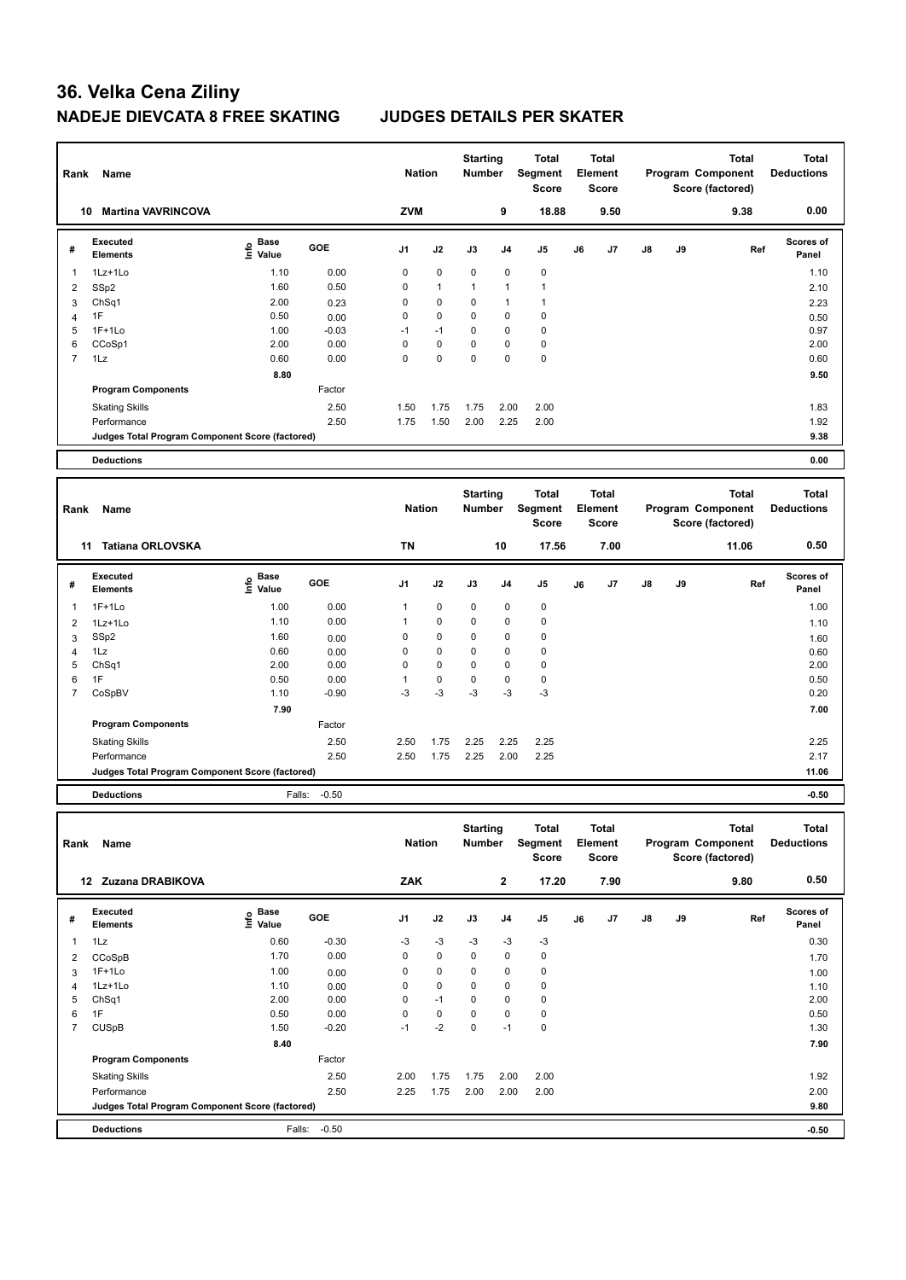| Rank           | Name                                            |                              |         | <b>Nation</b>  |              | <b>Starting</b><br><b>Number</b> |                | Total<br>Segment<br><b>Score</b>        |    | <b>Total</b><br>Element<br><b>Score</b> |    |    | <b>Total</b><br>Program Component<br>Score (factored) | <b>Total</b><br><b>Deductions</b> |
|----------------|-------------------------------------------------|------------------------------|---------|----------------|--------------|----------------------------------|----------------|-----------------------------------------|----|-----------------------------------------|----|----|-------------------------------------------------------|-----------------------------------|
|                | <b>Martina VAVRINCOVA</b><br>10                 |                              |         | <b>ZVM</b>     |              |                                  | 9              | 18.88                                   |    | 9.50                                    |    |    | 9.38                                                  | 0.00                              |
| #              | <b>Executed</b><br><b>Elements</b>              | Base<br>e Base<br>⊆ Value    | GOE     | J <sub>1</sub> | J2           | J3                               | J <sub>4</sub> | J <sub>5</sub>                          | J6 | J7                                      | J8 | J9 | Ref                                                   | <b>Scores of</b><br>Panel         |
| -1             | 1Lz+1Lo                                         | 1.10                         | 0.00    | 0              | 0            | 0                                | 0              | $\pmb{0}$                               |    |                                         |    |    |                                                       | 1.10                              |
| $\overline{2}$ | SSp2                                            | 1.60                         | 0.50    | 0              | $\mathbf{1}$ | $\mathbf{1}$                     | 1              | $\mathbf{1}$                            |    |                                         |    |    |                                                       | 2.10                              |
| 3              | Ch <sub>Sq1</sub>                               | 2.00                         | 0.23    | 0              | 0            | 0                                | 1              | $\overline{1}$                          |    |                                         |    |    |                                                       | 2.23                              |
| $\overline{4}$ | 1F                                              | 0.50                         | 0.00    | $\mathbf 0$    | 0            | 0                                | 0              | $\mathbf 0$                             |    |                                         |    |    |                                                       | 0.50                              |
| 5              | $1F+1Lo$                                        | 1.00                         | $-0.03$ | $-1$           | $-1$         | 0                                | 0              | $\pmb{0}$                               |    |                                         |    |    |                                                       | 0.97                              |
| 6              | CCoSp1                                          | 2.00                         | 0.00    | 0              | 0            | 0                                | 0              | $\mathbf 0$                             |    |                                         |    |    |                                                       | 2.00                              |
| $\overline{7}$ | 1Lz                                             | 0.60                         | 0.00    | $\mathbf 0$    | $\mathbf 0$  | 0                                | 0              | $\pmb{0}$                               |    |                                         |    |    |                                                       | 0.60                              |
|                |                                                 | 8.80                         |         |                |              |                                  |                |                                         |    |                                         |    |    |                                                       | 9.50                              |
|                | <b>Program Components</b>                       |                              | Factor  |                |              |                                  |                |                                         |    |                                         |    |    |                                                       |                                   |
|                | <b>Skating Skills</b>                           |                              | 2.50    | 1.50           | 1.75         | 1.75                             | 2.00           | 2.00                                    |    |                                         |    |    |                                                       | 1.83                              |
|                | Performance                                     |                              | 2.50    | 1.75           | 1.50         | 2.00                             | 2.25           | 2.00                                    |    |                                         |    |    |                                                       | 1.92                              |
|                | Judges Total Program Component Score (factored) |                              |         |                |              |                                  |                |                                         |    |                                         |    |    |                                                       | 9.38                              |
|                |                                                 |                              |         |                |              |                                  |                |                                         |    |                                         |    |    |                                                       |                                   |
|                |                                                 |                              |         |                |              |                                  |                |                                         |    |                                         |    |    |                                                       |                                   |
|                | <b>Deductions</b>                               |                              |         |                |              |                                  |                |                                         |    |                                         |    |    |                                                       | 0.00                              |
| Rank           | <b>Name</b>                                     |                              |         | <b>Nation</b>  |              | <b>Starting</b><br>Number        |                | <b>Total</b><br>Segment<br><b>Score</b> |    | <b>Total</b><br>Element<br><b>Score</b> |    |    | <b>Total</b><br>Program Component<br>Score (factored) | <b>Total</b><br><b>Deductions</b> |
|                | <b>Tatiana ORLOVSKA</b><br>11                   |                              |         | <b>TN</b>      |              |                                  | 10             | 17.56                                   |    | 7.00                                    |    |    | 11.06                                                 | 0.50                              |
| #              | Executed<br><b>Elements</b>                     | <b>Base</b><br>lnfo<br>Value | GOE     | J <sub>1</sub> | J2           | J3                               | J4             | J5                                      | J6 | J7                                      | J8 | J9 | Ref                                                   | <b>Scores of</b><br>Panel         |
| $\overline{1}$ | $1F+1Lo$                                        | 1.00                         | 0.00    | 1              | 0            | 0                                | 0              | 0                                       |    |                                         |    |    |                                                       | 1.00                              |
| $\overline{2}$ | 1Lz+1Lo                                         | 1.10                         | 0.00    | 1              | 0            | 0                                | 0              | 0                                       |    |                                         |    |    |                                                       | 1.10                              |
| 3              | SSp2                                            | 1.60                         | 0.00    | 0              | 0            | 0                                | 0              | $\mathbf 0$                             |    |                                         |    |    |                                                       | 1.60                              |
| 4              | 1Lz                                             | 0.60                         | 0.00    | $\mathbf 0$    | 0            | 0                                | 0              | $\mathbf 0$                             |    |                                         |    |    |                                                       | 0.60                              |
| 5              | ChSq1                                           | 2.00                         | 0.00    | 0              | 0            | 0                                | 0              | $\mathbf 0$                             |    |                                         |    |    |                                                       | 2.00                              |
| 6              | 1F                                              | 0.50                         | 0.00    | 1              | 0            | 0                                | 0              | $\mathbf 0$                             |    |                                         |    |    |                                                       | 0.50                              |
| $\overline{7}$ | CoSpBV                                          | 1.10                         | $-0.90$ | $-3$           | $-3$         | $-3$                             | $-3$           | $-3$                                    |    |                                         |    |    |                                                       | 0.20                              |
|                |                                                 | 7.90                         |         |                |              |                                  |                |                                         |    |                                         |    |    |                                                       | 7.00                              |
|                | <b>Program Components</b>                       |                              | Factor  |                |              |                                  |                |                                         |    |                                         |    |    |                                                       |                                   |

Performance 2.50 2.50 1.75 2.25 2.00 2.25 2.17 **Judges Total Program Component Score (factored) 11.06**

**Deductions** Falls: -0.50 **-0.50**

| Rank | Name                                            |                             |            | <b>Nation</b>  |             | <b>Starting</b><br><b>Number</b> |                | <b>Total</b><br>Segment<br>Score |    | Total<br>Element<br><b>Score</b> |               |    | <b>Total</b><br>Program Component<br>Score (factored) | Total<br><b>Deductions</b> |
|------|-------------------------------------------------|-----------------------------|------------|----------------|-------------|----------------------------------|----------------|----------------------------------|----|----------------------------------|---------------|----|-------------------------------------------------------|----------------------------|
| 12   | Zuzana DRABIKOVA                                |                             |            | ZAK            |             |                                  | $\mathbf{2}$   | 17.20                            |    | 7.90                             |               |    | 9.80                                                  | 0.50                       |
| #    | Executed<br><b>Elements</b>                     | Base<br>$\frac{6}{5}$ Value | <b>GOE</b> | J <sub>1</sub> | J2          | J3                               | J <sub>4</sub> | J <sub>5</sub>                   | J6 | J7                               | $\mathsf{J}8$ | J9 | Ref                                                   | Scores of<br>Panel         |
|      | 1Lz                                             | 0.60                        | $-0.30$    | -3             | $-3$        | $-3$                             | $-3$           | $-3$                             |    |                                  |               |    |                                                       | 0.30                       |
| 2    | CCoSpB                                          | 1.70                        | 0.00       | 0              | $\mathbf 0$ | $\mathbf 0$                      | $\mathbf 0$    | 0                                |    |                                  |               |    |                                                       | 1.70                       |
| 3    | $1F+1Lo$                                        | 1.00                        | 0.00       | 0              | $\mathbf 0$ | $\mathbf 0$                      | $\mathbf 0$    | $\mathbf 0$                      |    |                                  |               |    |                                                       | 1.00                       |
| 4    | 1Lz+1Lo                                         | 1.10                        | 0.00       | 0              | $\pmb{0}$   | $\mathbf 0$                      | $\mathbf 0$    | 0                                |    |                                  |               |    |                                                       | 1.10                       |
| 5    | ChSq1                                           | 2.00                        | 0.00       | 0              | $-1$        | 0                                | $\mathbf 0$    | $\mathbf 0$                      |    |                                  |               |    |                                                       | 2.00                       |
| 6    | 1F                                              | 0.50                        | 0.00       | 0              | $\pmb{0}$   | 0                                | $\mathbf 0$    | 0                                |    |                                  |               |    |                                                       | 0.50                       |
| 7    | <b>CUSpB</b>                                    | 1.50                        | $-0.20$    | $-1$           | $-2$        | $\Omega$                         | $-1$           | $\mathbf 0$                      |    |                                  |               |    |                                                       | 1.30                       |
|      |                                                 | 8.40                        |            |                |             |                                  |                |                                  |    |                                  |               |    |                                                       | 7.90                       |
|      | <b>Program Components</b>                       |                             | Factor     |                |             |                                  |                |                                  |    |                                  |               |    |                                                       |                            |
|      | <b>Skating Skills</b>                           |                             | 2.50       | 2.00           | 1.75        | 1.75                             | 2.00           | 2.00                             |    |                                  |               |    |                                                       | 1.92                       |
|      | Performance                                     |                             | 2.50       | 2.25           | 1.75        | 2.00                             | 2.00           | 2.00                             |    |                                  |               |    |                                                       | 2.00                       |
|      | Judges Total Program Component Score (factored) |                             |            |                |             |                                  |                |                                  |    |                                  |               |    |                                                       | 9.80                       |
|      | <b>Deductions</b>                               | Falls:                      | $-0.50$    |                |             |                                  |                |                                  |    |                                  |               |    |                                                       | $-0.50$                    |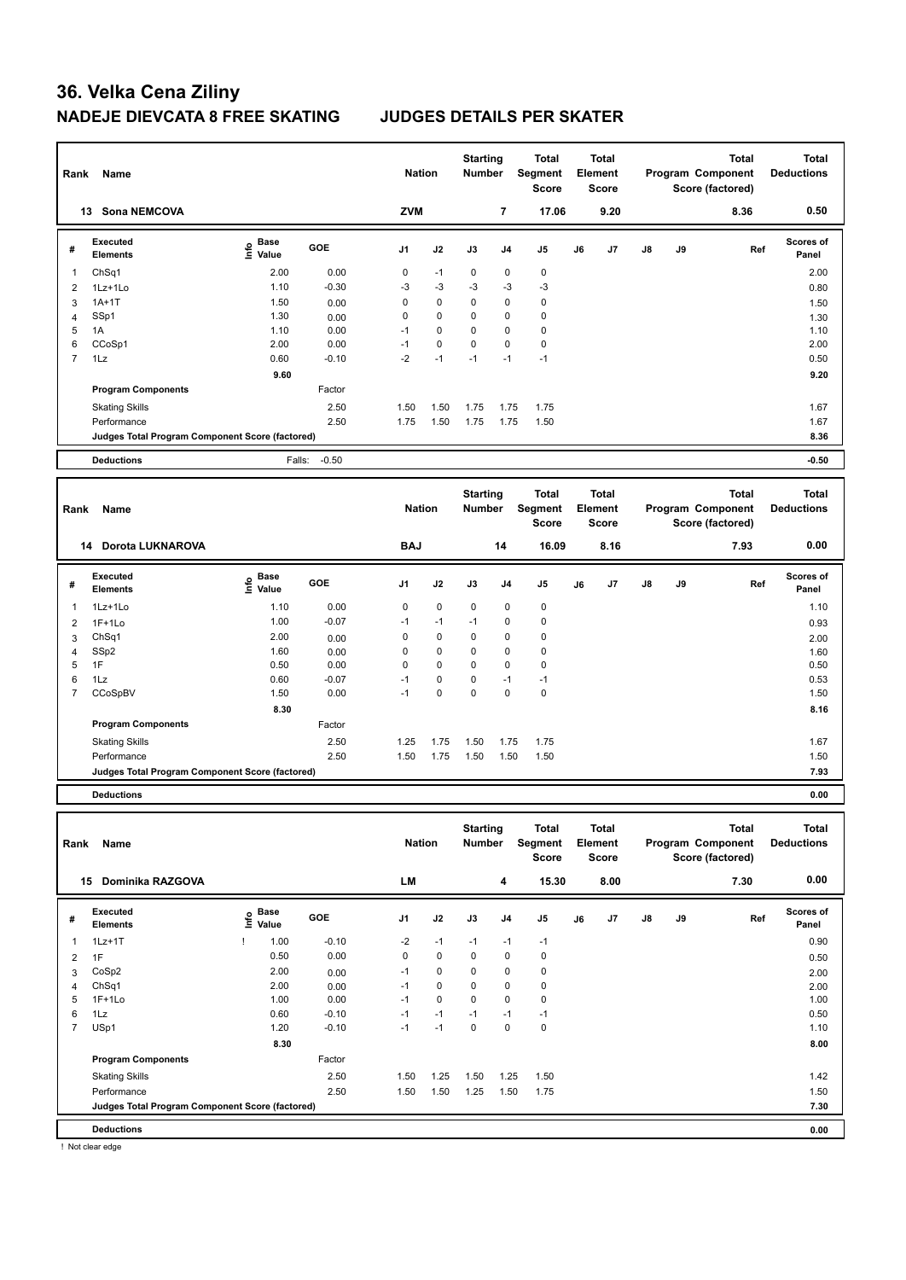| Rank                    | Name                                            |                                  |            | <b>Nation</b>  |             | <b>Starting</b><br><b>Number</b> |                | <b>Total</b><br>Segment<br><b>Score</b> |    | <b>Total</b><br>Element<br><b>Score</b> |               |    | <b>Total</b><br>Program Component<br>Score (factored) | <b>Total</b><br><b>Deductions</b> |
|-------------------------|-------------------------------------------------|----------------------------------|------------|----------------|-------------|----------------------------------|----------------|-----------------------------------------|----|-----------------------------------------|---------------|----|-------------------------------------------------------|-----------------------------------|
|                         | 13 Sona NEMCOVA                                 |                                  |            | ZVM            |             |                                  | $\overline{7}$ | 17.06                                   |    | 9.20                                    |               |    | 8.36                                                  | 0.50                              |
| #                       | <b>Executed</b><br><b>Elements</b>              | <b>Base</b><br>e Base<br>⊆ Value | <b>GOE</b> | J <sub>1</sub> | J2          | J3                               | J <sub>4</sub> | J <sub>5</sub>                          | J6 | J7                                      | J8            | J9 | Ref                                                   | <b>Scores of</b><br>Panel         |
| $\mathbf{1}$            | ChSq1                                           | 2.00                             | 0.00       | 0              | $-1$        | $\mathbf 0$                      | 0              | 0                                       |    |                                         |               |    |                                                       | 2.00                              |
| $\overline{2}$          | 1Lz+1Lo                                         | 1.10                             | $-0.30$    | $-3$           | $-3$        | $-3$                             | $-3$           | -3                                      |    |                                         |               |    |                                                       | 0.80                              |
| 3                       | $1A+1T$                                         | 1.50                             | 0.00       | $\Omega$       | 0           | $\Omega$                         | $\mathbf 0$    | $\mathbf 0$                             |    |                                         |               |    |                                                       | 1.50                              |
| $\overline{4}$          | SSp1                                            | 1.30                             | 0.00       | $\mathbf 0$    | 0           | 0                                | $\mathbf 0$    | $\pmb{0}$                               |    |                                         |               |    |                                                       | 1.30                              |
| 5                       | 1A                                              | 1.10                             | 0.00       | $-1$           | $\mathbf 0$ | $\Omega$                         | $\mathbf 0$    | $\pmb{0}$                               |    |                                         |               |    |                                                       | 1.10                              |
| 6                       | CCoSp1                                          | 2.00                             | 0.00       | $-1$           | $\mathbf 0$ | $\Omega$                         | $\mathbf 0$    | $\pmb{0}$                               |    |                                         |               |    |                                                       | 2.00                              |
| $\overline{7}$          | 1Lz                                             | 0.60                             | $-0.10$    | $-2$           | $-1$        | $-1$                             | $-1$           | $-1$                                    |    |                                         |               |    |                                                       | 0.50                              |
|                         |                                                 | 9.60                             |            |                |             |                                  |                |                                         |    |                                         |               |    |                                                       | 9.20                              |
|                         | <b>Program Components</b>                       |                                  | Factor     |                |             |                                  |                |                                         |    |                                         |               |    |                                                       |                                   |
|                         | <b>Skating Skills</b>                           |                                  | 2.50       | 1.50           | 1.50        | 1.75                             | 1.75           | 1.75                                    |    |                                         |               |    |                                                       | 1.67                              |
|                         | Performance                                     |                                  | 2.50       | 1.75           | 1.50        | 1.75                             | 1.75           | 1.50                                    |    |                                         |               |    |                                                       | 1.67                              |
|                         | Judges Total Program Component Score (factored) |                                  |            |                |             |                                  |                |                                         |    |                                         |               |    |                                                       | 8.36                              |
|                         | <b>Deductions</b>                               | Falls:                           | $-0.50$    |                |             |                                  |                |                                         |    |                                         |               |    |                                                       | $-0.50$                           |
| Rank                    | Name                                            |                                  |            | <b>Nation</b>  |             | <b>Starting</b><br><b>Number</b> |                | <b>Total</b><br>Segment<br><b>Score</b> |    | <b>Total</b><br>Element<br><b>Score</b> |               |    | <b>Total</b><br>Program Component<br>Score (factored) | <b>Total</b><br><b>Deductions</b> |
|                         | Dorota LUKNAROVA<br>14                          |                                  |            | <b>BAJ</b>     |             |                                  | 14             | 16.09                                   |    | 8.16                                    |               |    | 7.93                                                  | 0.00                              |
| #                       | <b>Executed</b><br><b>Elements</b>              | e Base<br>E Value                | <b>GOE</b> | J <sub>1</sub> | J2          | J3                               | J <sub>4</sub> | J <sub>5</sub>                          | J6 | J7                                      | $\mathsf{J}8$ | J9 | Ref                                                   | <b>Scores of</b><br>Panel         |
| $\overline{\mathbf{1}}$ | $1Lz+1Lo$                                       | 1.10                             | 0.00       | $\mathbf 0$    | $\mathbf 0$ | 0                                | $\mathbf 0$    | $\pmb{0}$                               |    |                                         |               |    |                                                       | 1.10                              |
| $\overline{2}$          | $1F+1Lo$                                        | 1.00                             | $-0.07$    | $-1$           | $-1$        | $-1$                             | $\mathbf 0$    | $\pmb{0}$                               |    |                                         |               |    |                                                       | 0.93                              |
| 3                       | ChSq1                                           | 2.00                             | 0.00       | $\mathbf 0$    | 0           | 0                                | 0              | 0                                       |    |                                         |               |    |                                                       | 2.00                              |
| $\overline{4}$          | SSp2                                            | 1.60                             | 0.00       | $\Omega$       | 0           | 0                                | $\Omega$       | $\pmb{0}$                               |    |                                         |               |    |                                                       | 1.60                              |
| 5                       | 1F                                              | 0.50                             | 0.00       | $\mathbf 0$    | 0           | 0                                | 0              | $\mathbf 0$                             |    |                                         |               |    |                                                       | 0.50                              |

|   | <b>Deductions</b>                               |      |         |      |      |     |     |      | 0.00 |
|---|-------------------------------------------------|------|---------|------|------|-----|-----|------|------|
|   | Judges Total Program Component Score (factored) |      |         |      |      |     |     |      | 7.93 |
|   | Performance                                     |      | 2.50    | 1.50 | 1.75 | .50 | .50 | 1.50 | 1.50 |
|   | <b>Skating Skills</b>                           |      | 2.50    | 1.25 | .75  | .50 | 75ء | 1.75 | 1.67 |
|   | <b>Program Components</b>                       |      | Factor  |      |      |     |     |      |      |
|   |                                                 | 8.30 |         |      |      |     |     |      | 8.16 |
|   | CCoSpBV                                         | 1.50 | 0.00    | -1   | 0    | 0   | 0   | 0    | 1.50 |
| 6 | 1Lz                                             | 0.60 | $-0.07$ | -1   | 0    | 0   | -1  | -1   | 0.53 |
| 5 | 1F                                              | 0.50 | 0.00    | 0    | 0    | 0   | 0   | 0    | 0.50 |
|   |                                                 |      |         |      |      |     |     |      |      |

| Rank           | Name                                            |    |                      |            | <b>Nation</b>  |             | <b>Starting</b><br>Number |                | Total<br>Segment<br><b>Score</b> |    | <b>Total</b><br>Element<br><b>Score</b> |               |    | <b>Total</b><br>Program Component<br>Score (factored) | Total<br><b>Deductions</b> |
|----------------|-------------------------------------------------|----|----------------------|------------|----------------|-------------|---------------------------|----------------|----------------------------------|----|-----------------------------------------|---------------|----|-------------------------------------------------------|----------------------------|
| 15             | Dominika RAZGOVA                                |    |                      |            | LM             |             |                           | 4              | 15.30                            |    | 8.00                                    |               |    | 7.30                                                  | 0.00                       |
| #              | Executed<br><b>Elements</b>                     | ۴ů | <b>Base</b><br>Value | <b>GOE</b> | J <sub>1</sub> | J2          | J3                        | J <sub>4</sub> | J <sub>5</sub>                   | J6 | J7                                      | $\mathsf{J}8$ | J9 | Ref                                                   | Scores of<br>Panel         |
| 1              | $1Lz+1T$                                        |    | 1.00                 | $-0.10$    | $-2$           | $-1$        | $-1$                      | $-1$           | $-1$                             |    |                                         |               |    |                                                       | 0.90                       |
| 2              | 1F                                              |    | 0.50                 | 0.00       | 0              | $\mathbf 0$ | $\mathbf 0$               | 0              | 0                                |    |                                         |               |    |                                                       | 0.50                       |
| 3              | CoSp2                                           |    | 2.00                 | 0.00       | $-1$           | 0           | 0                         | $\mathbf 0$    | 0                                |    |                                         |               |    |                                                       | 2.00                       |
| 4              | Ch <sub>Sq1</sub>                               |    | 2.00                 | 0.00       | $-1$           | $\mathbf 0$ | 0                         | $\mathbf 0$    | 0                                |    |                                         |               |    |                                                       | 2.00                       |
| 5              | $1F+1Lo$                                        |    | 1.00                 | 0.00       | $-1$           | $\mathbf 0$ | 0                         | $\mathbf 0$    | 0                                |    |                                         |               |    |                                                       | 1.00                       |
| 6              | 1Lz                                             |    | 0.60                 | $-0.10$    | $-1$           | $-1$        | $-1$                      | $-1$           | $-1$                             |    |                                         |               |    |                                                       | 0.50                       |
| $\overline{7}$ | USp1                                            |    | 1.20                 | $-0.10$    | $-1$           | $-1$        | $\mathbf 0$               | $\mathbf 0$    | $\pmb{0}$                        |    |                                         |               |    |                                                       | 1.10                       |
|                |                                                 |    | 8.30                 |            |                |             |                           |                |                                  |    |                                         |               |    |                                                       | 8.00                       |
|                | <b>Program Components</b>                       |    |                      | Factor     |                |             |                           |                |                                  |    |                                         |               |    |                                                       |                            |
|                | <b>Skating Skills</b>                           |    |                      | 2.50       | 1.50           | 1.25        | 1.50                      | 1.25           | 1.50                             |    |                                         |               |    |                                                       | 1.42                       |
|                | Performance                                     |    |                      | 2.50       | 1.50           | 1.50        | 1.25                      | 1.50           | 1.75                             |    |                                         |               |    |                                                       | 1.50                       |
|                | Judges Total Program Component Score (factored) |    |                      |            |                |             |                           |                |                                  |    |                                         |               |    |                                                       | 7.30                       |
|                | <b>Deductions</b>                               |    |                      |            |                |             |                           |                |                                  |    |                                         |               |    |                                                       | 0.00                       |

! Not clear edge